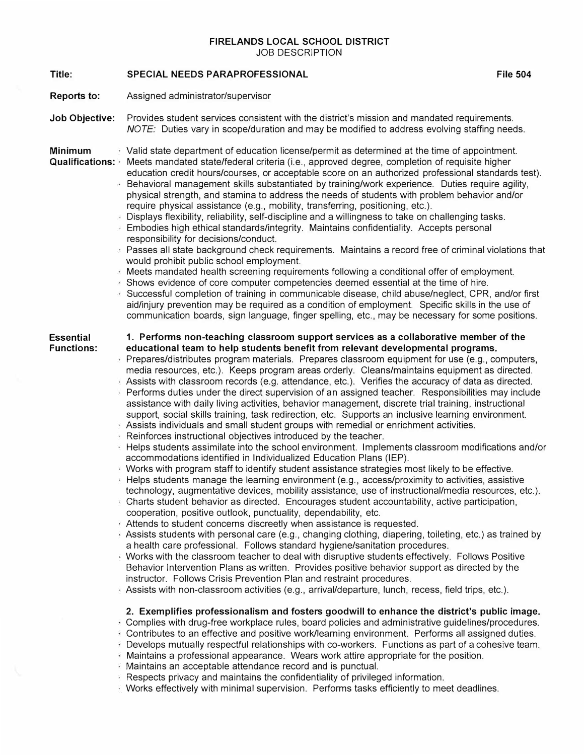**FIRELANDS LOCAL SCHOOL DISTRICT**  JOB DESCRIPTION

**Title: Reports to: Job Objective: Minimum Qualifications:**  Meets mandated state/federal criteria (i.e., approved degree, completion of requisite higher **Essential Functions: SPECIAL NEEDS PARAPROFESSIONAL**  Assigned administrator/supervisor Provides student services consistent with the district's mission and mandated requirements. *NOTE:* Duties vary in scope/duration and may be modified to address evolving staffing needs. Valid state department of education license/permit as determined at the time of appointment. education credit hours/courses, or acceptable score on an authorized professional standards test). Behavioral management skills substantiated by training/work experience. Duties require agility, physical strength, and stamina to address the needs of students with problem behavior and/or require physical assistance (e.g., mobility, transferring, positioning, etc.). Displays flexibility, reliability, self-discipline and a willingness to take on challenging tasks. Embodies high ethical standards/integrity. Maintains confidentiality. Accepts personal responsibility for decisions/conduct. Passes all state background check requirements. Maintains a record free of criminal violations that would prohibit public school employment. Meets mandated health screening requirements following a conditional offer of employment. Shows evidence of core computer competencies deemed essential at the time of hire. Successful completion of training in communicable disease, child abuse/neglect, CPR, and/or first aid/injury prevention may be required as a condition of employment. Specific skills in the use of communication boards, sign language, finger spelling, etc., may be necessary for some positions. **1. Performs non-teaching classroom support services as a collaborative member of the educational team to help students benefit from relevant developmental programs.** Prepares/distributes program materials. Prepares classroom equipment for use (e.g., computers, media resources, etc.). Keeps program areas orderly. Cleans/maintains equipment as directed. Assists with classroom records (e.g. attendance, etc.). Verifies the accuracy of data as directed. Performs duties under the direct supervision of an assigned teacher. Responsibilities may include assistance with daily living activities, behavior management, discrete trial training, instructional support, social skills training, task redirection, etc. Supports an inclusive learning environment. Assists individuals and small student groups with remedial or enrichment activities. Reinforces instructional objectives introduced by the teacher. Helps students assimilate into the school environment. Implements classroom modifications and/or accommodations identified in Individualized Education Plans (IEP). Works with program staff to identify student assistance strategies most likely to be effective. Helps students manage the learning environment (e.g., access/proximity to activities, assistive technology, augmentative devices, mobility assistance, use of instructional/media resources, etc.). Charts student behavior as directed. Encourages student accountability, active participation, cooperation, positive outlook, punctuality, dependability, etc. Attends to student concerns discreetly when assistance is requested. Assists students with personal care (e.g., changing clothing, diapering, toileting, etc.) as trained by a health care professional. Follows standard hygiene/sanitation procedures. Works with the classroom teacher to deal with disruptive students effectively. Follows Positive Behavior Intervention Plans as written. Provides positive behavior support as directed by the instructor. Follows Crisis Prevention Plan and restraint procedures. Assists with non-classroom activities (e.g., arrival/departure, lunch, recess, field trips, etc.). **2. Exemplifies professionalism and fosters goodwill to enhance the district's public image.** Complies with drug-free workplace rules, board policies and administrative guidelines/procedures. Contributes to an effective and positive work/learning environment. Performs all assigned duties. Develops mutually respectful relationships with co-workers. Functions as part of a cohesive team. Maintains a professional appearance. Wears work attire appropriate for the position. Maintains an acceptable attendance record and is punctual. Respects privacy and maintains the confidentiality of privileged information. Works effectively with minimal supervision. Performs tasks efficiently to meet deadlines.